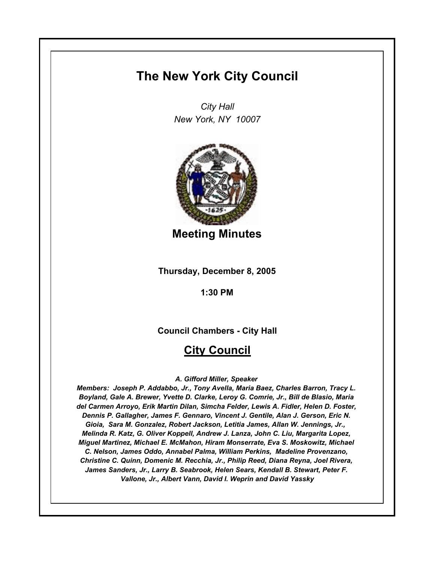# **The New York City Council**

*City Hall New York, NY 10007*



**Meeting Minutes**

**Thursday, December 8, 2005**

**1:30 PM**

**Council Chambers - City Hall**

# **City Council**

*A. Gifford Miller, Speaker* 

*Members: Joseph P. Addabbo, Jr., Tony Avella, Maria Baez, Charles Barron, Tracy L. Boyland, Gale A. Brewer, Yvette D. Clarke, Leroy G. Comrie, Jr., Bill de Blasio, Maria del Carmen Arroyo, Erik Martin Dilan, Simcha Felder, Lewis A. Fidler, Helen D. Foster, Dennis P. Gallagher, James F. Gennaro, Vincent J. Gentile, Alan J. Gerson, Eric N. Gioia, Sara M. Gonzalez, Robert Jackson, Letitia James, Allan W. Jennings, Jr., Melinda R. Katz, G. Oliver Koppell, Andrew J. Lanza, John C. Liu, Margarita Lopez, Miguel Martinez, Michael E. McMahon, Hiram Monserrate, Eva S. Moskowitz, Michael C. Nelson, James Oddo, Annabel Palma, William Perkins, Madeline Provenzano, Christine C. Quinn, Domenic M. Recchia, Jr., Philip Reed, Diana Reyna, Joel Rivera, James Sanders, Jr., Larry B. Seabrook, Helen Sears, Kendall B. Stewart, Peter F. Vallone, Jr., Albert Vann, David I. Weprin and David Yassky*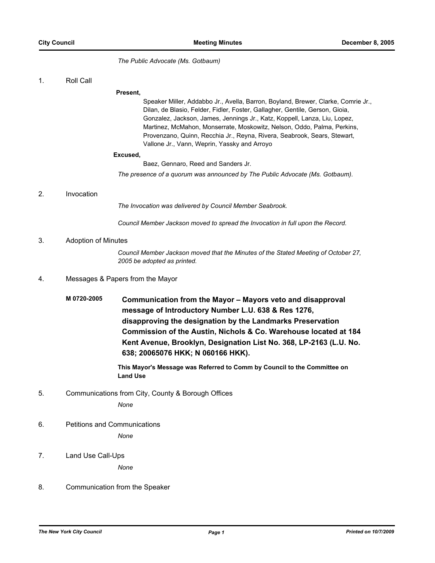*The Public Advocate (Ms. Gotbaum)*

1. Roll Call

#### **Present,**

Speaker Miller, Addabbo Jr., Avella, Barron, Boyland, Brewer, Clarke, Comrie Jr., Dilan, de Blasio, Felder, Fidler, Foster, Gallagher, Gentile, Gerson, Gioia, Gonzalez, Jackson, James, Jennings Jr., Katz, Koppell, Lanza, Liu, Lopez, Martinez, McMahon, Monserrate, Moskowitz, Nelson, Oddo, Palma, Perkins, Provenzano, Quinn, Recchia Jr., Reyna, Rivera, Seabrook, Sears, Stewart, Vallone Jr., Vann, Weprin, Yassky and Arroyo

#### **Excused,**

Baez, Gennaro, Reed and Sanders Jr.

*The presence of a quorum was announced by The Public Advocate (Ms. Gotbaum).*

### 2. Invocation

*The Invocation was delivered by Council Member Seabrook.*

*Council Member Jackson moved to spread the Invocation in full upon the Record.*

### 3. Adoption of Minutes

*Council Member Jackson moved that the Minutes of the Stated Meeting of October 27, 2005 be adopted as printed.*

### 4. Messages & Papers from the Mayor

**M 0720-2005 Communication from the Mayor – Mayors veto and disapproval message of Introductory Number L.U. 638 & Res 1276, disapproving the designation by the Landmarks Preservation Commission of the Austin, Nichols & Co. Warehouse located at 184 Kent Avenue, Brooklyn, Designation List No. 368, LP-2163 (L.U. No. 638; 20065076 HKK; N 060166 HKK).**

> **This Mayor's Message was Referred to Comm by Council to the Committee on Land Use**

5. Communications from City, County & Borough Offices

*None*

- 6. Petitions and Communications *None*
- 7. Land Use Call-Ups

*None*

8. Communication from the Speaker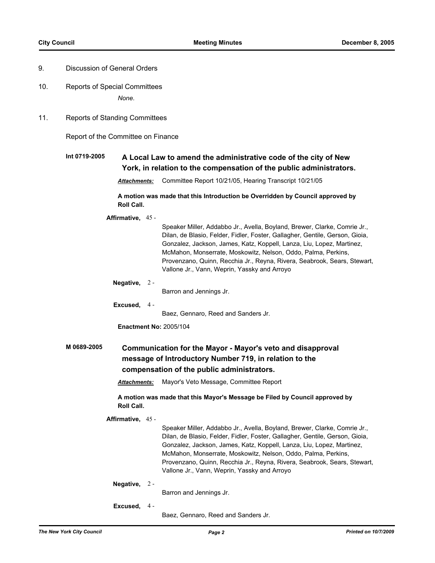- 9. Discussion of General Orders
- 10. Reports of Special Committees *None.*
- 11. Reports of Standing Committees

Report of the Committee on Finance

# **Int 0719-2005 A Local Law to amend the administrative code of the city of New York, in relation to the compensation of the public administrators.**

*Attachments:* Committee Report 10/21/05, Hearing Transcript 10/21/05

**A motion was made that this Introduction be Overridden by Council approved by Roll Call.**

**Affirmative,** 45 -

Speaker Miller, Addabbo Jr., Avella, Boyland, Brewer, Clarke, Comrie Jr., Dilan, de Blasio, Felder, Fidler, Foster, Gallagher, Gentile, Gerson, Gioia, Gonzalez, Jackson, James, Katz, Koppell, Lanza, Liu, Lopez, Martinez, McMahon, Monserrate, Moskowitz, Nelson, Oddo, Palma, Perkins, Provenzano, Quinn, Recchia Jr., Reyna, Rivera, Seabrook, Sears, Stewart, Vallone Jr., Vann, Weprin, Yassky and Arroyo

**Negative,** 2 -

Barron and Jennings Jr.

**Excused,** 4 -

Baez, Gennaro, Reed and Sanders Jr.

**Enactment No:** 2005/104

# **M 0689-2005 Communication for the Mayor - Mayor's veto and disapproval message of Introductory Number 719, in relation to the compensation of the public administrators.**

*Attachments:* Mayor's Veto Message, Committee Report

**A motion was made that this Mayor's Message be Filed by Council approved by Roll Call.**

**Affirmative,** 45 -

Speaker Miller, Addabbo Jr., Avella, Boyland, Brewer, Clarke, Comrie Jr., Dilan, de Blasio, Felder, Fidler, Foster, Gallagher, Gentile, Gerson, Gioia, Gonzalez, Jackson, James, Katz, Koppell, Lanza, Liu, Lopez, Martinez, McMahon, Monserrate, Moskowitz, Nelson, Oddo, Palma, Perkins, Provenzano, Quinn, Recchia Jr., Reyna, Rivera, Seabrook, Sears, Stewart, Vallone Jr., Vann, Weprin, Yassky and Arroyo

**Negative,** 2 -

Barron and Jennings Jr.

**Excused,** 4 -

Baez, Gennaro, Reed and Sanders Jr.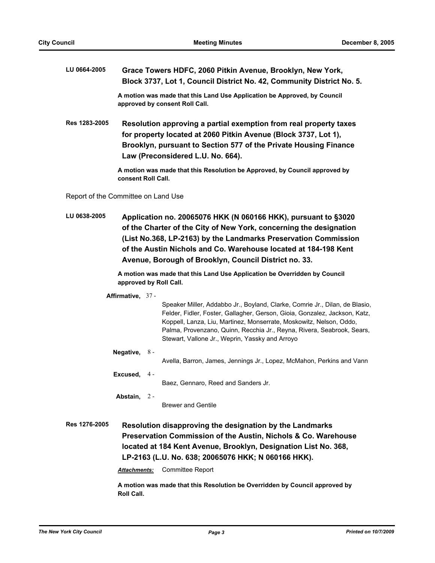| LU 0664-2005                                                                                                                                                                                                                                                          |                                                                                                                                                                                                                                               | Grace Towers HDFC, 2060 Pitkin Avenue, Brooklyn, New York,<br>Block 3737, Lot 1, Council District No. 42, Community District No. 5.                                                                                                                                                                                                 |  |
|-----------------------------------------------------------------------------------------------------------------------------------------------------------------------------------------------------------------------------------------------------------------------|-----------------------------------------------------------------------------------------------------------------------------------------------------------------------------------------------------------------------------------------------|-------------------------------------------------------------------------------------------------------------------------------------------------------------------------------------------------------------------------------------------------------------------------------------------------------------------------------------|--|
|                                                                                                                                                                                                                                                                       |                                                                                                                                                                                                                                               | A motion was made that this Land Use Application be Approved, by Council<br>approved by consent Roll Call.                                                                                                                                                                                                                          |  |
| Res 1283-2005                                                                                                                                                                                                                                                         | Resolution approving a partial exemption from real property taxes<br>for property located at 2060 Pitkin Avenue (Block 3737, Lot 1),<br>Brooklyn, pursuant to Section 577 of the Private Housing Finance<br>Law (Preconsidered L.U. No. 664). |                                                                                                                                                                                                                                                                                                                                     |  |
|                                                                                                                                                                                                                                                                       | consent Roll Call.                                                                                                                                                                                                                            | A motion was made that this Resolution be Approved, by Council approved by                                                                                                                                                                                                                                                          |  |
| Report of the Committee on Land Use                                                                                                                                                                                                                                   |                                                                                                                                                                                                                                               |                                                                                                                                                                                                                                                                                                                                     |  |
| LU 0638-2005                                                                                                                                                                                                                                                          |                                                                                                                                                                                                                                               | Application no. 20065076 HKK (N 060166 HKK), pursuant to §3020<br>of the Charter of the City of New York, concerning the designation<br>(List No.368, LP-2163) by the Landmarks Preservation Commission<br>of the Austin Nichols and Co. Warehouse located at 184-198 Kent<br>Avenue, Borough of Brooklyn, Council District no. 33. |  |
| A motion was made that this Land Use Application be Overridden by Council<br>approved by Roll Call.                                                                                                                                                                   |                                                                                                                                                                                                                                               |                                                                                                                                                                                                                                                                                                                                     |  |
|                                                                                                                                                                                                                                                                       | Affirmative, 37 -                                                                                                                                                                                                                             | Speaker Miller, Addabbo Jr., Boyland, Clarke, Comrie Jr., Dilan, de Blasio,<br>Felder, Fidler, Foster, Gallagher, Gerson, Gioia, Gonzalez, Jackson, Katz,<br>Koppell, Lanza, Liu, Martinez, Monserrate, Moskowitz, Nelson, Oddo,<br>Palma, Provenzano, Quinn, Recchia Jr., Reyna, Rivera, Seabrook, Sears,                          |  |
|                                                                                                                                                                                                                                                                       | Negative, $8 -$                                                                                                                                                                                                                               | Stewart, Vallone Jr., Weprin, Yassky and Arroyo                                                                                                                                                                                                                                                                                     |  |
|                                                                                                                                                                                                                                                                       |                                                                                                                                                                                                                                               | Avella, Barron, James, Jennings Jr., Lopez, McMahon, Perkins and Vann                                                                                                                                                                                                                                                               |  |
|                                                                                                                                                                                                                                                                       | Excused, 4 -                                                                                                                                                                                                                                  | Baez, Gennaro, Reed and Sanders Jr.                                                                                                                                                                                                                                                                                                 |  |
|                                                                                                                                                                                                                                                                       | Abstain, 2-                                                                                                                                                                                                                                   |                                                                                                                                                                                                                                                                                                                                     |  |
|                                                                                                                                                                                                                                                                       |                                                                                                                                                                                                                                               | <b>Brewer and Gentile</b>                                                                                                                                                                                                                                                                                                           |  |
| Res 1276-2005<br>Resolution disapproving the designation by the Landmarks<br>Preservation Commission of the Austin, Nichols & Co. Warehouse<br>located at 184 Kent Avenue, Brooklyn, Designation List No. 368,<br>LP-2163 (L.U. No. 638; 20065076 HKK; N 060166 HKK). |                                                                                                                                                                                                                                               |                                                                                                                                                                                                                                                                                                                                     |  |
|                                                                                                                                                                                                                                                                       | Attachments:                                                                                                                                                                                                                                  | <b>Committee Report</b><br>A motion was made that this Resolution be Overridden by Council approved by                                                                                                                                                                                                                              |  |
|                                                                                                                                                                                                                                                                       | Roll Call.                                                                                                                                                                                                                                    |                                                                                                                                                                                                                                                                                                                                     |  |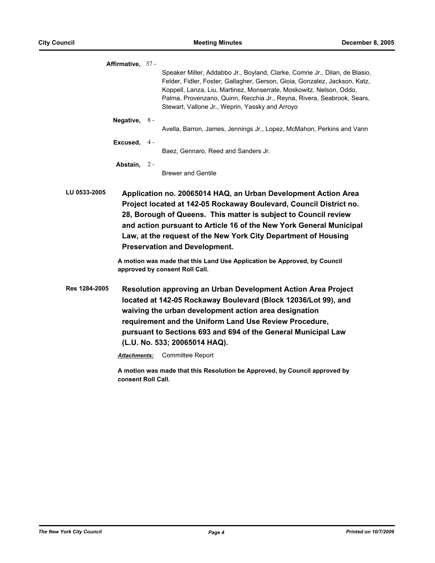|              | Affirmative, 37 - |                                                                                                                                                                                                                                                                                                                                                               |
|--------------|-------------------|---------------------------------------------------------------------------------------------------------------------------------------------------------------------------------------------------------------------------------------------------------------------------------------------------------------------------------------------------------------|
|              |                   | Speaker Miller, Addabbo Jr., Boyland, Clarke, Comrie Jr., Dilan, de Blasio,<br>Felder, Fidler, Foster, Gallagher, Gerson, Gioia, Gonzalez, Jackson, Katz,<br>Koppell, Lanza, Liu, Martinez, Monserrate, Moskowitz, Nelson, Oddo,<br>Palma, Provenzano, Quinn, Recchia Jr., Reyna, Rivera, Seabrook, Sears,<br>Stewart, Vallone Jr., Weprin, Yassky and Arroyo |
|              | Negative, $8 -$   | Avella, Barron, James, Jennings Jr., Lopez, McMahon, Perkins and Vann                                                                                                                                                                                                                                                                                         |
|              | Excused, $4-$     |                                                                                                                                                                                                                                                                                                                                                               |
|              |                   | Baez, Gennaro, Reed and Sanders Jr.                                                                                                                                                                                                                                                                                                                           |
|              | Abstain, 2-       | <b>Brewer and Gentile</b>                                                                                                                                                                                                                                                                                                                                     |
| LU 0533-2005 |                   | Application no. 20065014 HAQ, an Urban Development Action Area<br>Project located at 142-05 Rockaway Boulevard, Council District no.<br>28, Borough of Queens. This matter is subject to Council review<br>and action pursuant to Article 16 of the New York General Municipal                                                                                |

**A motion was made that this Land Use Application be Approved, by Council approved by consent Roll Call.**

**Law, at the request of the New York City Department of Housing** 

**Res 1284-2005 Resolution approving an Urban Development Action Area Project located at 142-05 Rockaway Boulevard (Block 12036/Lot 99), and waiving the urban development action area designation requirement and the Uniform Land Use Review Procedure, pursuant to Sections 693 and 694 of the General Municipal Law (L.U. No. 533; 20065014 HAQ).**

*Attachments:* Committee Report

**Preservation and Development.**

**A motion was made that this Resolution be Approved, by Council approved by consent Roll Call.**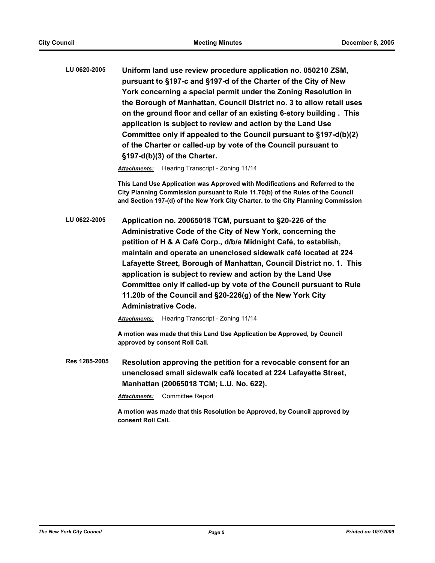**LU 0620-2005 Uniform land use review procedure application no. 050210 ZSM, pursuant to §197-c and §197-d of the Charter of the City of New York concerning a special permit under the Zoning Resolution in the Borough of Manhattan, Council District no. 3 to allow retail uses on the ground floor and cellar of an existing 6-story building . This application is subject to review and action by the Land Use Committee only if appealed to the Council pursuant to §197-d(b)(2) of the Charter or called-up by vote of the Council pursuant to §197-d(b)(3) of the Charter.**

*Attachments:* Hearing Transcript - Zoning 11/14

**This Land Use Application was Approved with Modifications and Referred to the City Planning Commission pursuant to Rule 11.70(b) of the Rules of the Council and Section 197-(d) of the New York City Charter. to the City Planning Commission**

**LU 0622-2005 Application no. 20065018 TCM, pursuant to §20-226 of the Administrative Code of the City of New York, concerning the petition of H & A Café Corp., d/b/a Midnight Café, to establish, maintain and operate an unenclosed sidewalk café located at 224 Lafayette Street, Borough of Manhattan, Council District no. 1. This application is subject to review and action by the Land Use Committee only if called-up by vote of the Council pursuant to Rule 11.20b of the Council and §20-226(g) of the New York City Administrative Code.**

*Attachments:* Hearing Transcript - Zoning 11/14

**A motion was made that this Land Use Application be Approved, by Council approved by consent Roll Call.**

**Res 1285-2005 Resolution approving the petition for a revocable consent for an unenclosed small sidewalk café located at 224 Lafayette Street, Manhattan (20065018 TCM; L.U. No. 622).**

*Attachments:* Committee Report

**A motion was made that this Resolution be Approved, by Council approved by consent Roll Call.**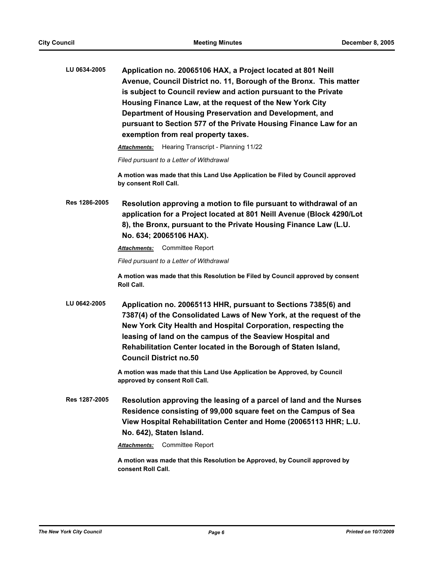| LU 0634-2005  | Application no. 20065106 HAX, a Project located at 801 Neill<br>Avenue, Council District no. 11, Borough of the Bronx. This matter<br>is subject to Council review and action pursuant to the Private<br>Housing Finance Law, at the request of the New York City<br>Department of Housing Preservation and Development, and<br>pursuant to Section 577 of the Private Housing Finance Law for an<br>exemption from real property taxes. |  |  |
|---------------|------------------------------------------------------------------------------------------------------------------------------------------------------------------------------------------------------------------------------------------------------------------------------------------------------------------------------------------------------------------------------------------------------------------------------------------|--|--|
|               | Hearing Transcript - Planning 11/22<br><b>Attachments:</b>                                                                                                                                                                                                                                                                                                                                                                               |  |  |
|               | Filed pursuant to a Letter of Withdrawal                                                                                                                                                                                                                                                                                                                                                                                                 |  |  |
|               | A motion was made that this Land Use Application be Filed by Council approved<br>by consent Roll Call.                                                                                                                                                                                                                                                                                                                                   |  |  |
| Res 1286-2005 | Resolution approving a motion to file pursuant to withdrawal of an<br>application for a Project located at 801 Neill Avenue (Block 4290/Lot<br>8), the Bronx, pursuant to the Private Housing Finance Law (L.U.<br>No. 634; 20065106 HAX).                                                                                                                                                                                               |  |  |
|               | <b>Attachments:</b> Committee Report                                                                                                                                                                                                                                                                                                                                                                                                     |  |  |
|               | Filed pursuant to a Letter of Withdrawal                                                                                                                                                                                                                                                                                                                                                                                                 |  |  |
|               | A motion was made that this Resolution be Filed by Council approved by consent<br><b>Roll Call.</b>                                                                                                                                                                                                                                                                                                                                      |  |  |
| LU 0642-2005  | Application no. 20065113 HHR, pursuant to Sections 7385(6) and<br>7387(4) of the Consolidated Laws of New York, at the request of the<br>New York City Health and Hospital Corporation, respecting the<br>leasing of land on the campus of the Seaview Hospital and<br>Rehabilitation Center located in the Borough of Staten Island,<br><b>Council District no.50</b>                                                                   |  |  |
|               | A motion was made that this Land Use Application be Approved, by Council<br>approved by consent Roll Call.                                                                                                                                                                                                                                                                                                                               |  |  |
| Res 1287-2005 | Resolution approving the leasing of a parcel of land and the Nurses<br>Residence consisting of 99,000 square feet on the Campus of Sea<br>View Hospital Rehabilitation Center and Home (20065113 HHR; L.U.<br>No. 642), Staten Island.                                                                                                                                                                                                   |  |  |
|               | <b>Committee Report</b><br>Attachments:                                                                                                                                                                                                                                                                                                                                                                                                  |  |  |
|               | A motion was made that this Resolution be Approved, by Council approved by<br>consent Roll Call.                                                                                                                                                                                                                                                                                                                                         |  |  |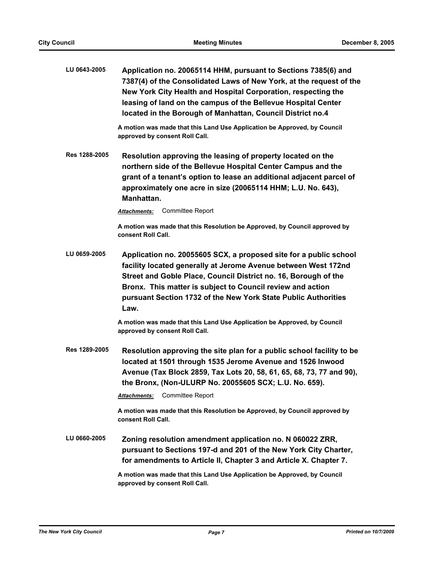| LU 0643-2005         | Application no. 20065114 HHM, pursuant to Sections 7385(6) and<br>7387(4) of the Consolidated Laws of New York, at the request of the<br>New York City Health and Hospital Corporation, respecting the<br>leasing of land on the campus of the Bellevue Hospital Center<br>located in the Borough of Manhattan, Council District no.4          |
|----------------------|------------------------------------------------------------------------------------------------------------------------------------------------------------------------------------------------------------------------------------------------------------------------------------------------------------------------------------------------|
|                      | A motion was made that this Land Use Application be Approved, by Council<br>approved by consent Roll Call.                                                                                                                                                                                                                                     |
| <b>Res 1288-2005</b> | Resolution approving the leasing of property located on the<br>northern side of the Bellevue Hospital Center Campus and the<br>grant of a tenant's option to lease an additional adjacent parcel of<br>approximately one acre in size (20065114 HHM; L.U. No. 643),<br>Manhattan.                                                              |
|                      | Committee Report<br>Attachments:                                                                                                                                                                                                                                                                                                               |
|                      | A motion was made that this Resolution be Approved, by Council approved by<br>consent Roll Call.                                                                                                                                                                                                                                               |
| LU 0659-2005         | Application no. 20055605 SCX, a proposed site for a public school<br>facility located generally at Jerome Avenue between West 172nd<br>Street and Goble Place, Council District no. 16, Borough of the<br>Bronx. This matter is subject to Council review and action<br>pursuant Section 1732 of the New York State Public Authorities<br>Law. |
|                      | A motion was made that this Land Use Application be Approved, by Council<br>approved by consent Roll Call.                                                                                                                                                                                                                                     |
| Res 1289-2005        | Resolution approving the site plan for a public school facility to be<br>located at 1501 through 1535 Jerome Avenue and 1526 Inwood<br>Avenue (Tax Block 2859, Tax Lots 20, 58, 61, 65, 68, 73, 77 and 90),<br>the Bronx, (Non-ULURP No. 20055605 SCX; L.U. No. 659).<br><b>Committee Report</b><br><b>Attachments:</b>                        |
|                      | A motion was made that this Resolution be Approved, by Council approved by<br>consent Roll Call.                                                                                                                                                                                                                                               |
| LU 0660-2005         | Zoning resolution amendment application no. N 060022 ZRR,<br>pursuant to Sections 197-d and 201 of the New York City Charter,<br>for amendments to Article II, Chapter 3 and Article X. Chapter 7.                                                                                                                                             |
|                      | A motion was made that this Land Use Application be Approved, by Council<br>approved by consent Roll Call.                                                                                                                                                                                                                                     |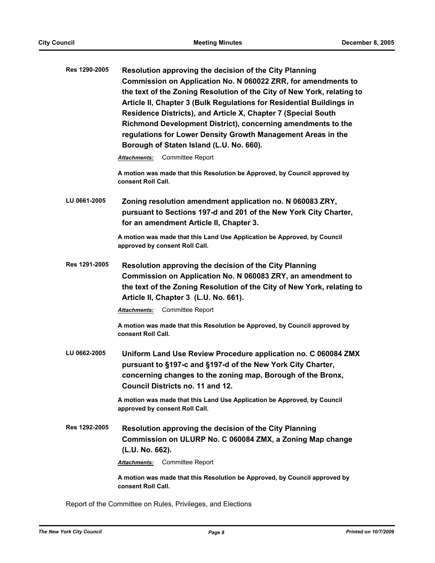| Resolution approving the decision of the City Planning                 |
|------------------------------------------------------------------------|
| Commission on Application No. N 060022 ZRR, for amendments to          |
| the text of the Zoning Resolution of the City of New York, relating to |
| Article II, Chapter 3 (Bulk Regulations for Residential Buildings in   |
| Residence Districts), and Article X, Chapter 7 (Special South          |
| Richmond Development District), concerning amendments to the           |
| regulations for Lower Density Growth Management Areas in the           |
| Borough of Staten Island (L.U. No. 660).                               |
|                                                                        |

*Attachments:* Committee Report

**A motion was made that this Resolution be Approved, by Council approved by consent Roll Call.**

**LU 0661-2005 Zoning resolution amendment application no. N 060083 ZRY, pursuant to Sections 197-d and 201 of the New York City Charter, for an amendment Article II, Chapter 3.**

> **A motion was made that this Land Use Application be Approved, by Council approved by consent Roll Call.**

**Res 1291-2005 Resolution approving the decision of the City Planning Commission on Application No. N 060083 ZRY, an amendment to the text of the Zoning Resolution of the City of New York, relating to Article II, Chapter 3 (L.U. No. 661).**

*Attachments:* Committee Report

**A motion was made that this Resolution be Approved, by Council approved by consent Roll Call.**

**LU 0662-2005 Uniform Land Use Review Procedure application no. C 060084 ZMX pursuant to §197-c and §197-d of the New York City Charter, concerning changes to the zoning map, Borough of the Bronx, Council Districts no. 11 and 12.**

> **A motion was made that this Land Use Application be Approved, by Council approved by consent Roll Call.**

**Res 1292-2005 Resolution approving the decision of the City Planning Commission on ULURP No. C 060084 ZMX, a Zoning Map change (L.U. No. 662).**

*Attachments:* Committee Report

**A motion was made that this Resolution be Approved, by Council approved by consent Roll Call.**

Report of the Committee on Rules, Privileges, and Elections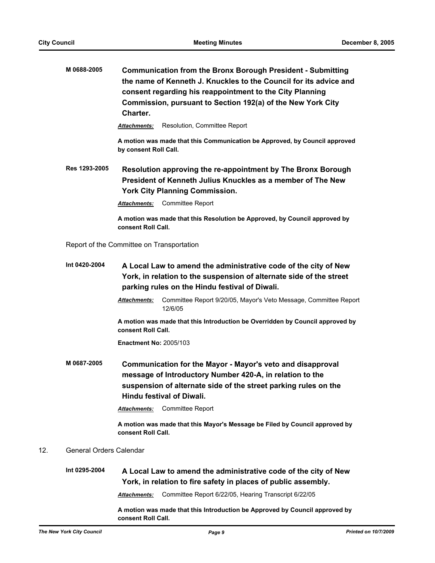| M 0688-2005 | <b>Communication from the Bronx Borough President - Submitting</b> |
|-------------|--------------------------------------------------------------------|
|             | the name of Kenneth J. Knuckles to the Council for its advice and  |
|             | consent regarding his reappointment to the City Planning           |
|             | Commission, pursuant to Section 192(a) of the New York City        |
|             | Charter.                                                           |

Attachments: Resolution, Committee Report

**A motion was made that this Communication be Approved, by Council approved by consent Roll Call.**

**Res 1293-2005 Resolution approving the re-appointment by The Bronx Borough President of Kenneth Julius Knuckles as a member of The New York City Planning Commission.**

*Attachments:* Committee Report

**A motion was made that this Resolution be Approved, by Council approved by consent Roll Call.**

Report of the Committee on Transportation

- **Int 0420-2004 A Local Law to amend the administrative code of the city of New York, in relation to the suspension of alternate side of the street parking rules on the Hindu festival of Diwali.**
	- *Attachments:* Committee Report 9/20/05, Mayor's Veto Message, Committee Report 12/6/05

**A motion was made that this Introduction be Overridden by Council approved by consent Roll Call.**

**Enactment No:** 2005/103

**M 0687-2005 Communication for the Mayor - Mayor's veto and disapproval message of Introductory Number 420-A, in relation to the suspension of alternate side of the street parking rules on the Hindu festival of Diwali.**

*Attachments:* Committee Report

**A motion was made that this Mayor's Message be Filed by Council approved by consent Roll Call.**

# 12. General Orders Calendar

**Int 0295-2004 A Local Law to amend the administrative code of the city of New York, in relation to fire safety in places of public assembly.**

*Attachments:* Committee Report 6/22/05, Hearing Transcript 6/22/05

**A motion was made that this Introduction be Approved by Council approved by consent Roll Call.**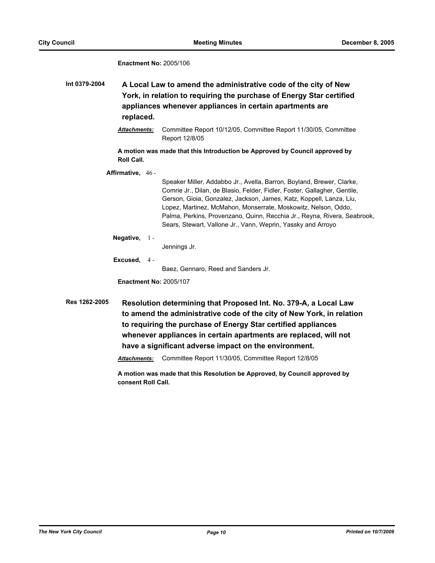#### **Enactment No:** 2005/106

**Int 0379-2004 A Local Law to amend the administrative code of the city of New York, in relation to requiring the purchase of Energy Star certified appliances whenever appliances in certain apartments are replaced.**

> *Attachments:* Committee Report 10/12/05, Committee Report 11/30/05, Committee Report 12/8/05

**A motion was made that this Introduction be Approved by Council approved by Roll Call.**

**Affirmative,** 46 -

Speaker Miller, Addabbo Jr., Avella, Barron, Boyland, Brewer, Clarke, Comrie Jr., Dilan, de Blasio, Felder, Fidler, Foster, Gallagher, Gentile, Gerson, Gioia, Gonzalez, Jackson, James, Katz, Koppell, Lanza, Liu, Lopez, Martinez, McMahon, Monserrate, Moskowitz, Nelson, Oddo, Palma, Perkins, Provenzano, Quinn, Recchia Jr., Reyna, Rivera, Seabrook, Sears, Stewart, Vallone Jr., Vann, Weprin, Yassky and Arroyo

**Negative,** 1 -

Jennings Jr.

**Excused,** 4 -

Baez, Gennaro, Reed and Sanders Jr.

**Enactment No:** 2005/107

**Res 1262-2005 Resolution determining that Proposed Int. No. 379-A, a Local Law to amend the administrative code of the city of New York, in relation to requiring the purchase of Energy Star certified appliances whenever appliances in certain apartments are replaced, will not have a significant adverse impact on the environment.**

*Attachments:* Committee Report 11/30/05, Committee Report 12/8/05

**A motion was made that this Resolution be Approved, by Council approved by consent Roll Call.**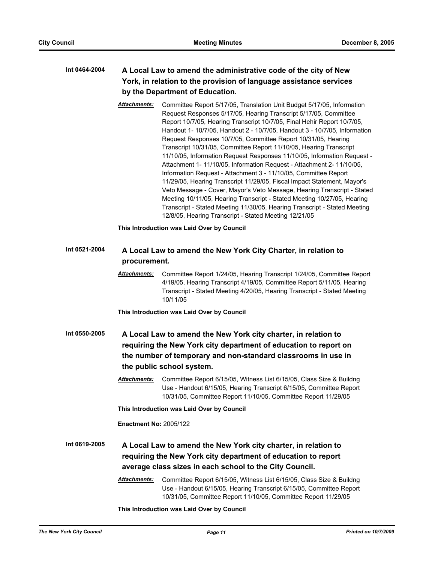# **Int 0464-2004 A Local Law to amend the administrative code of the city of New York, in relation to the provision of language assistance services by the Department of Education.**

*Attachments:* Committee Report 5/17/05, Translation Unit Budget 5/17/05, Information Request Responses 5/17/05, Hearing Transcript 5/17/05, Committee Report 10/7/05, Hearing Transcript 10/7/05, Final Hehir Report 10/7/05, Handout 1- 10/7/05, Handout 2 - 10/7/05, Handout 3 - 10/7/05, Information Request Responses 10/7/05, Committee Report 10/31/05, Hearing Transcript 10/31/05, Committee Report 11/10/05, Hearing Transcript 11/10/05, Information Request Responses 11/10/05, Information Request - Attachment 1- 11/10/05, Information Request - Attachment 2- 11/10/05, Information Request - Attachment 3 - 11/10/05, Committee Report 11/29/05, Hearing Transcript 11/29/05, Fiscal Impact Statement, Mayor's Veto Message - Cover, Mayor's Veto Message, Hearing Transcript - Stated Meeting 10/11/05, Hearing Transcript - Stated Meeting 10/27/05, Hearing Transcript - Stated Meeting 11/30/05, Hearing Transcript - Stated Meeting 12/8/05, Hearing Transcript - Stated Meeting 12/21/05

**This Introduction was Laid Over by Council**

# **Int 0521-2004 A Local Law to amend the New York City Charter, in relation to procurement.**

*Attachments:* Committee Report 1/24/05, Hearing Transcript 1/24/05, Committee Report 4/19/05, Hearing Transcript 4/19/05, Committee Report 5/11/05, Hearing Transcript - Stated Meeting 4/20/05, Hearing Transcript - Stated Meeting 10/11/05

**This Introduction was Laid Over by Council**

- **Int 0550-2005 A Local Law to amend the New York city charter, in relation to requiring the New York city department of education to report on the number of temporary and non-standard classrooms in use in the public school system.**
	- *Attachments:* Committee Report 6/15/05, Witness List 6/15/05, Class Size & Buildng Use - Handout 6/15/05, Hearing Transcript 6/15/05, Committee Report 10/31/05, Committee Report 11/10/05, Committee Report 11/29/05

**This Introduction was Laid Over by Council**

**Enactment No:** 2005/122

**Int 0619-2005 A Local Law to amend the New York city charter, in relation to requiring the New York city department of education to report average class sizes in each school to the City Council.**

> *Attachments:* Committee Report 6/15/05, Witness List 6/15/05, Class Size & Buildng Use - Handout 6/15/05, Hearing Transcript 6/15/05, Committee Report 10/31/05, Committee Report 11/10/05, Committee Report 11/29/05

**This Introduction was Laid Over by Council**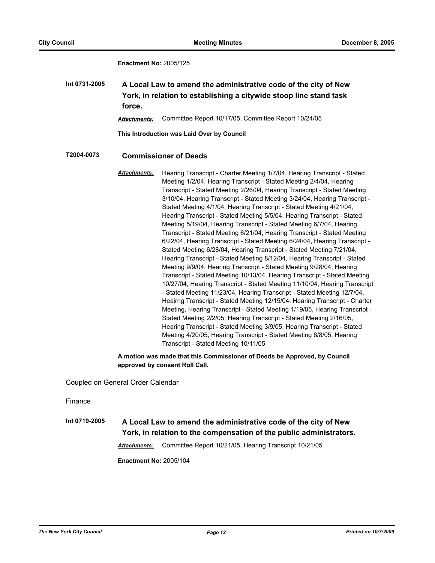**Enactment No:** 2005/125

**Int 0731-2005 A Local Law to amend the administrative code of the city of New York, in relation to establishing a citywide stoop line stand task force.**

*Attachments:* Committee Report 10/17/05, Committee Report 10/24/05

**This Introduction was Laid Over by Council**

### **T2004-0073 Commissioner of Deeds**

*Attachments:* Hearing Transcript - Charter Meeting 1/7/04, Hearing Transcript - Stated Meeting 1/2/04, Hearing Transcript - Stated Meeting 2/4/04, Hearing Transcript - Stated Meeting 2/26/04, Hearing Transcript - Stated Meeting 3/10/04, Hearing Transcript - Stated Meeting 3/24/04, Hearing Transcript - Stated Meeting 4/1/04, Hearing Transcript - Stated Meeting 4/21/04, Hearing Transcript - Stated Meeting 5/5/04, Hearing Transcript - Stated Meeting 5/19/04, Hearing Transcript - Stated Meeting 6/7/04, Hearing Transcript - Stated Meeting 6/21/04, Hearing Transcript - Stated Meeting 6/22/04, Hearing Transcript - Stated Meeting 6/24/04, Hearing Transcript - Stated Meeting 6/28/04, Hearing Transcript - Stated Meeting 7/21/04, Hearing Transcript - Stated Meeting 8/12/04, Hearing Transcript - Stated Meeting 9/9/04, Hearing Transcript - Stated Meeting 9/28/04, Hearing Transcript - Stated Meeting 10/13/04, Hearing Transcript - Stated Meeting 10/27/04, Hearing Transcript - Stated Meeting 11/10/04, Hearing Transcript - Stated Meeting 11/23/04, Hearing Transcript - Stated Meeting 12/7/04, Heairng Transcript - Stated Meeting 12/15/04, Hearing Transcript - Charter Meeting, Hearing Transcript - Stated Meeting 1/19/05, Hearing Transcript - Stated Meeting 2/2/05, Hearing Transcript - Stated Meeting 2/16/05, Hearing Transcript - Stated Meeting 3/9/05, Hearing Transcript - Stated Meeting 4/20/05, Hearing Transcript - Stated Meeting 6/8/05, Hearing Transcript - Stated Meeting 10/11/05

**A motion was made that this Commissioner of Deeds be Approved, by Council approved by consent Roll Call.**

Coupled on General Order Calendar

Finance

**Int 0719-2005 A Local Law to amend the administrative code of the city of New York, in relation to the compensation of the public administrators.**

*Attachments:* Committee Report 10/21/05, Hearing Transcript 10/21/05

**Enactment No:** 2005/104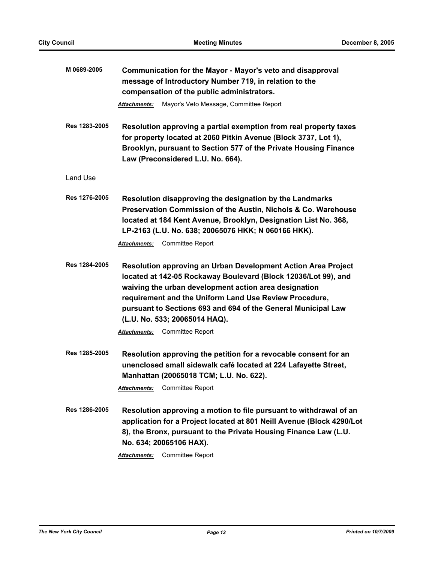| M 0689-2005   | Communication for the Mayor - Mayor's veto and disapproval<br>message of Introductory Number 719, in relation to the<br>compensation of the public administrators.                                                                                                                                                                                   |
|---------------|------------------------------------------------------------------------------------------------------------------------------------------------------------------------------------------------------------------------------------------------------------------------------------------------------------------------------------------------------|
|               | Mayor's Veto Message, Committee Report<br>Attachments:                                                                                                                                                                                                                                                                                               |
| Res 1283-2005 | Resolution approving a partial exemption from real property taxes<br>for property located at 2060 Pitkin Avenue (Block 3737, Lot 1),<br>Brooklyn, pursuant to Section 577 of the Private Housing Finance<br>Law (Preconsidered L.U. No. 664).                                                                                                        |
| Land Use      |                                                                                                                                                                                                                                                                                                                                                      |
| Res 1276-2005 | Resolution disapproving the designation by the Landmarks<br>Preservation Commission of the Austin, Nichols & Co. Warehouse<br>located at 184 Kent Avenue, Brooklyn, Designation List No. 368,<br>LP-2163 (L.U. No. 638; 20065076 HKK; N 060166 HKK).<br><b>Committee Report</b><br><b>Attachments:</b>                                               |
| Res 1284-2005 | Resolution approving an Urban Development Action Area Project<br>located at 142-05 Rockaway Boulevard (Block 12036/Lot 99), and<br>waiving the urban development action area designation<br>requirement and the Uniform Land Use Review Procedure,<br>pursuant to Sections 693 and 694 of the General Municipal Law<br>(L.U. No. 533; 20065014 HAQ). |
|               | <b>Committee Report</b><br><b>Attachments:</b>                                                                                                                                                                                                                                                                                                       |
| Res 1285-2005 | Resolution approving the petition for a revocable consent for an<br>unenclosed small sidewalk café located at 224 Lafayette Street,<br>Manhattan (20065018 TCM; L.U. No. 622).<br><b>Committee Report</b><br><b>Attachments:</b>                                                                                                                     |
| Res 1286-2005 | Resolution approving a motion to file pursuant to withdrawal of an<br>application for a Project located at 801 Neill Avenue (Block 4290/Lot<br>8), the Bronx, pursuant to the Private Housing Finance Law (L.U.<br>No. 634; 20065106 HAX).                                                                                                           |
|               | Committee Report<br><b>Attachments:</b>                                                                                                                                                                                                                                                                                                              |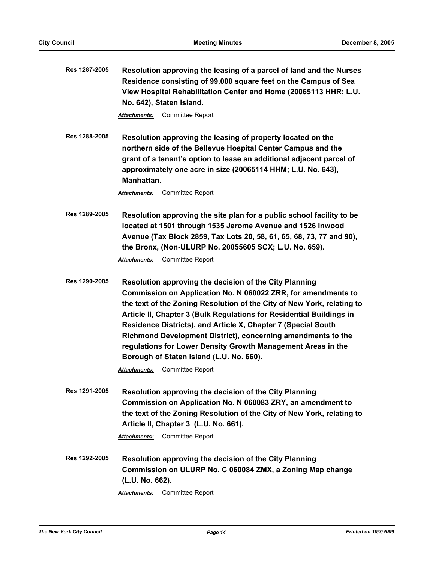**Res 1287-2005 Resolution approving the leasing of a parcel of land and the Nurses Residence consisting of 99,000 square feet on the Campus of Sea View Hospital Rehabilitation Center and Home (20065113 HHR; L.U. No. 642), Staten Island.**

*Attachments:* Committee Report

**Res 1288-2005 Resolution approving the leasing of property located on the northern side of the Bellevue Hospital Center Campus and the grant of a tenant's option to lease an additional adjacent parcel of approximately one acre in size (20065114 HHM; L.U. No. 643), Manhattan.**

*Attachments:* Committee Report

**Res 1289-2005 Resolution approving the site plan for a public school facility to be located at 1501 through 1535 Jerome Avenue and 1526 Inwood Avenue (Tax Block 2859, Tax Lots 20, 58, 61, 65, 68, 73, 77 and 90), the Bronx, (Non-ULURP No. 20055605 SCX; L.U. No. 659).**

*Attachments:* Committee Report

**Res 1290-2005 Resolution approving the decision of the City Planning Commission on Application No. N 060022 ZRR, for amendments to the text of the Zoning Resolution of the City of New York, relating to Article II, Chapter 3 (Bulk Regulations for Residential Buildings in Residence Districts), and Article X, Chapter 7 (Special South Richmond Development District), concerning amendments to the regulations for Lower Density Growth Management Areas in the Borough of Staten Island (L.U. No. 660).**

*Attachments:* Committee Report

**Res 1291-2005 Resolution approving the decision of the City Planning Commission on Application No. N 060083 ZRY, an amendment to the text of the Zoning Resolution of the City of New York, relating to Article II, Chapter 3 (L.U. No. 661).**

*Attachments:* Committee Report

**Res 1292-2005 Resolution approving the decision of the City Planning Commission on ULURP No. C 060084 ZMX, a Zoning Map change (L.U. No. 662).**

*Attachments:* Committee Report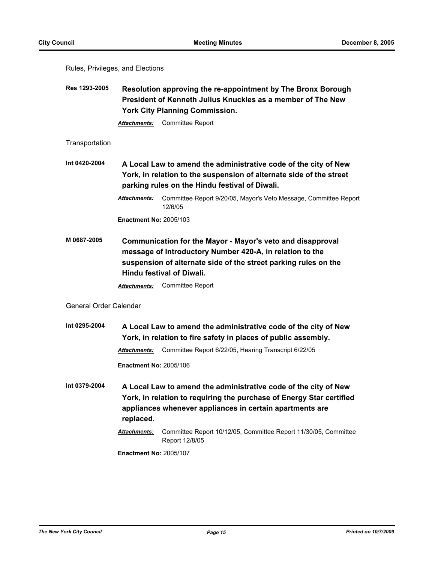Rules, Privileges, and Elections

**Res 1293-2005 Resolution approving the re-appointment by The Bronx Borough President of Kenneth Julius Knuckles as a member of The New York City Planning Commission.**

*Attachments:* Committee Report

### **Transportation**

**Int 0420-2004 A Local Law to amend the administrative code of the city of New York, in relation to the suspension of alternate side of the street parking rules on the Hindu festival of Diwali.**

> *Attachments:* Committee Report 9/20/05, Mayor's Veto Message, Committee Report 12/6/05

**Enactment No:** 2005/103

**M 0687-2005 Communication for the Mayor - Mayor's veto and disapproval message of Introductory Number 420-A, in relation to the suspension of alternate side of the street parking rules on the Hindu festival of Diwali.**

*Attachments:* Committee Report

# General Order Calendar

**Int 0295-2004 A Local Law to amend the administrative code of the city of New York, in relation to fire safety in places of public assembly.** *Attachments:* Committee Report 6/22/05, Hearing Transcript 6/22/05

**Enactment No:** 2005/106

- **Int 0379-2004 A Local Law to amend the administrative code of the city of New York, in relation to requiring the purchase of Energy Star certified appliances whenever appliances in certain apartments are replaced.**
	- *Attachments:* Committee Report 10/12/05, Committee Report 11/30/05, Committee Report 12/8/05

**Enactment No:** 2005/107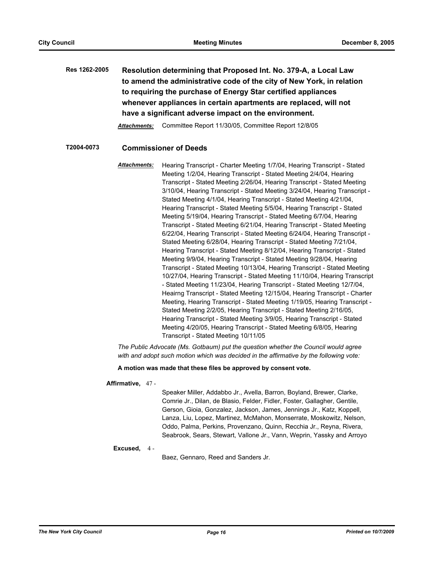**Res 1262-2005 Resolution determining that Proposed Int. No. 379-A, a Local Law to amend the administrative code of the city of New York, in relation to requiring the purchase of Energy Star certified appliances whenever appliances in certain apartments are replaced, will not have a significant adverse impact on the environment.**

*Attachments:* Committee Report 11/30/05, Committee Report 12/8/05

# **T2004-0073 Commissioner of Deeds**

*Attachments:* Hearing Transcript - Charter Meeting 1/7/04, Hearing Transcript - Stated Meeting 1/2/04, Hearing Transcript - Stated Meeting 2/4/04, Hearing Transcript - Stated Meeting 2/26/04, Hearing Transcript - Stated Meeting 3/10/04, Hearing Transcript - Stated Meeting 3/24/04, Hearing Transcript - Stated Meeting 4/1/04, Hearing Transcript - Stated Meeting 4/21/04, Hearing Transcript - Stated Meeting 5/5/04, Hearing Transcript - Stated Meeting 5/19/04, Hearing Transcript - Stated Meeting 6/7/04, Hearing Transcript - Stated Meeting 6/21/04, Hearing Transcript - Stated Meeting 6/22/04, Hearing Transcript - Stated Meeting 6/24/04, Hearing Transcript - Stated Meeting 6/28/04, Hearing Transcript - Stated Meeting 7/21/04, Hearing Transcript - Stated Meeting 8/12/04, Hearing Transcript - Stated Meeting 9/9/04, Hearing Transcript - Stated Meeting 9/28/04, Hearing Transcript - Stated Meeting 10/13/04, Hearing Transcript - Stated Meeting 10/27/04, Hearing Transcript - Stated Meeting 11/10/04, Hearing Transcript - Stated Meeting 11/23/04, Hearing Transcript - Stated Meeting 12/7/04, Heairng Transcript - Stated Meeting 12/15/04, Hearing Transcript - Charter Meeting, Hearing Transcript - Stated Meeting 1/19/05, Hearing Transcript - Stated Meeting 2/2/05, Hearing Transcript - Stated Meeting 2/16/05, Hearing Transcript - Stated Meeting 3/9/05, Hearing Transcript - Stated Meeting 4/20/05, Hearing Transcript - Stated Meeting 6/8/05, Hearing Transcript - Stated Meeting 10/11/05

*The Public Advocate (Ms. Gotbaum) put the question whether the Council would agree with and adopt such motion which was decided in the affirmative by the following vote:*

**A motion was made that these files be approved by consent vote.**

#### **Affirmative,** 47 -

Speaker Miller, Addabbo Jr., Avella, Barron, Boyland, Brewer, Clarke, Comrie Jr., Dilan, de Blasio, Felder, Fidler, Foster, Gallagher, Gentile, Gerson, Gioia, Gonzalez, Jackson, James, Jennings Jr., Katz, Koppell, Lanza, Liu, Lopez, Martinez, McMahon, Monserrate, Moskowitz, Nelson, Oddo, Palma, Perkins, Provenzano, Quinn, Recchia Jr., Reyna, Rivera, Seabrook, Sears, Stewart, Vallone Jr., Vann, Weprin, Yassky and Arroyo

#### **Excused,** 4 -

Baez, Gennaro, Reed and Sanders Jr.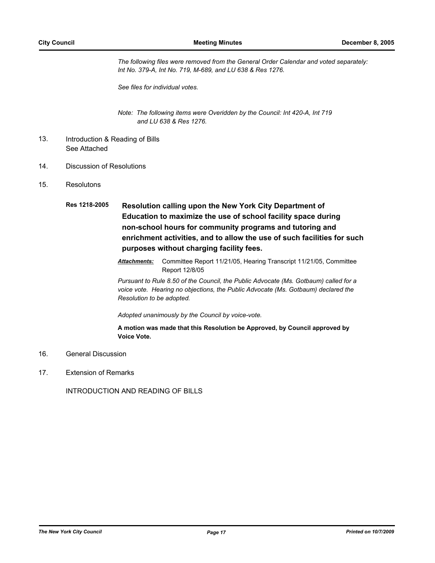*The following files were removed from the General Order Calendar and voted separately: Int No. 379-A, Int No. 719, M-689, and LU 638 & Res 1276.* 

*See files for individual votes.*

*Note: The following items were Overidden by the Council: Int 420-A, Int 719 and LU 638 & Res 1276.*

- Introduction & Reading of Bills See Attached 13.
- 14. Discussion of Resolutions
- 15. Resolutons
	- **Res 1218-2005 Resolution calling upon the New York City Department of Education to maximize the use of school facility space during non-school hours for community programs and tutoring and enrichment activities, and to allow the use of such facilities for such purposes without charging facility fees.**
		- *Attachments:* Committee Report 11/21/05, Hearing Transcript 11/21/05, Committee Report 12/8/05

*Pursuant to Rule 8.50 of the Council, the Public Advocate (Ms. Gotbaum) called for a voice vote. Hearing no objections, the Public Advocate (Ms. Gotbaum) declared the Resolution to be adopted.*

*Adopted unanimously by the Council by voice-vote.*

**A motion was made that this Resolution be Approved, by Council approved by Voice Vote.**

- 16. General Discussion
- 17. Extension of Remarks

INTRODUCTION AND READING OF BILLS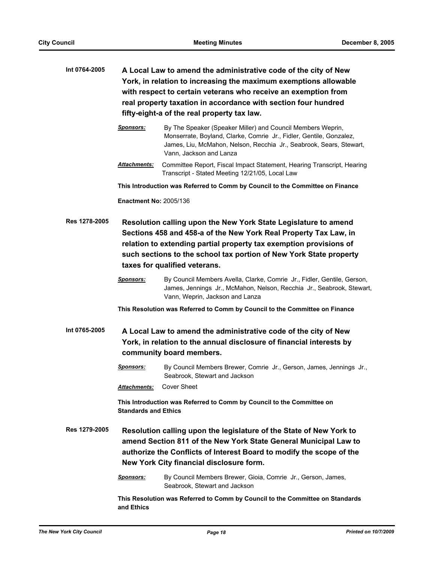| Int 0764-2005 | A Local Law to amend the administrative code of the city of New<br>York, in relation to increasing the maximum exemptions allowable<br>with respect to certain veterans who receive an exemption from<br>real property taxation in accordance with section four hundred<br>fifty-eight-a of the real property tax law. |                                                                                                                                                                                                                                      |  |
|---------------|------------------------------------------------------------------------------------------------------------------------------------------------------------------------------------------------------------------------------------------------------------------------------------------------------------------------|--------------------------------------------------------------------------------------------------------------------------------------------------------------------------------------------------------------------------------------|--|
|               | <b>Sponsors:</b>                                                                                                                                                                                                                                                                                                       | By The Speaker (Speaker Miller) and Council Members Weprin,<br>Monserrate, Boyland, Clarke, Comrie Jr., Fidler, Gentile, Gonzalez,<br>James, Liu, McMahon, Nelson, Recchia Jr., Seabrook, Sears, Stewart,<br>Vann. Jackson and Lanza |  |
|               | <b>Attachments:</b>                                                                                                                                                                                                                                                                                                    | Committee Report, Fiscal Impact Statement, Hearing Transcript, Hearing<br>Transcript - Stated Meeting 12/21/05, Local Law                                                                                                            |  |
|               |                                                                                                                                                                                                                                                                                                                        | This Introduction was Referred to Comm by Council to the Committee on Finance                                                                                                                                                        |  |
|               | <b>Enactment No: 2005/136</b>                                                                                                                                                                                                                                                                                          |                                                                                                                                                                                                                                      |  |
| Res 1278-2005 | Resolution calling upon the New York State Legislature to amend<br>Sections 458 and 458-a of the New York Real Property Tax Law, in<br>relation to extending partial property tax exemption provisions of<br>such sections to the school tax portion of New York State property<br>taxes for qualified veterans.       |                                                                                                                                                                                                                                      |  |
|               | <b>Sponsors:</b>                                                                                                                                                                                                                                                                                                       | By Council Members Avella, Clarke, Comrie Jr., Fidler, Gentile, Gerson,<br>James, Jennings Jr., McMahon, Nelson, Recchia Jr., Seabrook, Stewart,<br>Vann, Weprin, Jackson and Lanza                                                  |  |
|               |                                                                                                                                                                                                                                                                                                                        | This Resolution was Referred to Comm by Council to the Committee on Finance                                                                                                                                                          |  |
| Int 0765-2005 | A Local Law to amend the administrative code of the city of New<br>York, in relation to the annual disclosure of financial interests by<br>community board members.                                                                                                                                                    |                                                                                                                                                                                                                                      |  |
|               | <b>Sponsors:</b>                                                                                                                                                                                                                                                                                                       | By Council Members Brewer, Comrie Jr., Gerson, James, Jennings Jr.,<br>Seabrook, Stewart and Jackson                                                                                                                                 |  |
|               |                                                                                                                                                                                                                                                                                                                        | Attachments: Cover Sheet                                                                                                                                                                                                             |  |
|               | <b>Standards and Ethics</b>                                                                                                                                                                                                                                                                                            | This Introduction was Referred to Comm by Council to the Committee on                                                                                                                                                                |  |
| Res 1279-2005 | Resolution calling upon the legislature of the State of New York to<br>amend Section 811 of the New York State General Municipal Law to<br>authorize the Conflicts of Interest Board to modify the scope of the<br>New York City financial disclosure form.                                                            |                                                                                                                                                                                                                                      |  |
|               | <u>Sponsors:</u>                                                                                                                                                                                                                                                                                                       | By Council Members Brewer, Gioia, Comrie Jr., Gerson, James,<br>Seabrook, Stewart and Jackson                                                                                                                                        |  |
|               | and Ethics                                                                                                                                                                                                                                                                                                             | This Resolution was Referred to Comm by Council to the Committee on Standards                                                                                                                                                        |  |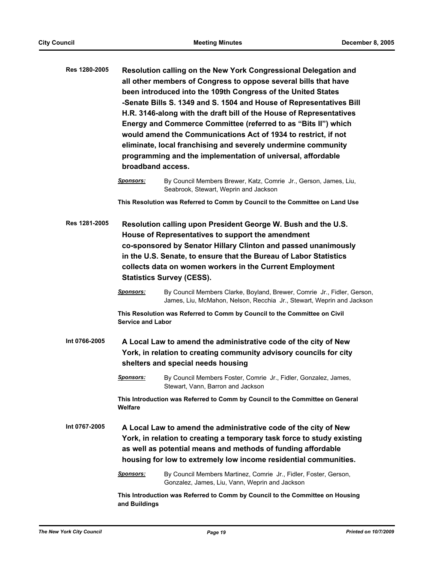| Res 1280-2005 |                  | Resolution calling on the New York Congressional Delegation and<br>all other members of Congress to oppose several bills that have<br>been introduced into the 109th Congress of the United States<br>-Senate Bills S. 1349 and S. 1504 and House of Representatives Bill<br>H.R. 3146-along with the draft bill of the House of Representatives<br>Energy and Commerce Committee (referred to as "Bits II") which<br>would amend the Communications Act of 1934 to restrict, if not<br>eliminate, local franchising and severely undermine community<br>programming and the implementation of universal, affordable<br>broadband access. |
|---------------|------------------|-------------------------------------------------------------------------------------------------------------------------------------------------------------------------------------------------------------------------------------------------------------------------------------------------------------------------------------------------------------------------------------------------------------------------------------------------------------------------------------------------------------------------------------------------------------------------------------------------------------------------------------------|
|               | <b>Sponsors:</b> | By Council Members Brewer, Katz, Comrie Jr., Gerson, James, Liu,                                                                                                                                                                                                                                                                                                                                                                                                                                                                                                                                                                          |

Seabrook, Stewart, Weprin and Jackson

**This Resolution was Referred to Comm by Council to the Committee on Land Use**

- **Res 1281-2005 Resolution calling upon President George W. Bush and the U.S. House of Representatives to support the amendment co-sponsored by Senator Hillary Clinton and passed unanimously in the U.S. Senate, to ensure that the Bureau of Labor Statistics collects data on women workers in the Current Employment Statistics Survey (CESS).**
	- *Sponsors:* By Council Members Clarke, Boyland, Brewer, Comrie Jr., Fidler, Gerson, James, Liu, McMahon, Nelson, Recchia Jr., Stewart, Weprin and Jackson

**This Resolution was Referred to Comm by Council to the Committee on Civil Service and Labor**

**Int 0766-2005 A Local Law to amend the administrative code of the city of New York, in relation to creating community advisory councils for city shelters and special needs housing**

> *Sponsors:* By Council Members Foster, Comrie Jr., Fidler, Gonzalez, James, Stewart, Vann, Barron and Jackson

**This Introduction was Referred to Comm by Council to the Committee on General Welfare**

**Int 0767-2005 A Local Law to amend the administrative code of the city of New York, in relation to creating a temporary task force to study existing as well as potential means and methods of funding affordable housing for low to extremely low income residential communities.**

## *Sponsors:* By Council Members Martinez, Comrie Jr., Fidler, Foster, Gerson, Gonzalez, James, Liu, Vann, Weprin and Jackson

**This Introduction was Referred to Comm by Council to the Committee on Housing and Buildings**